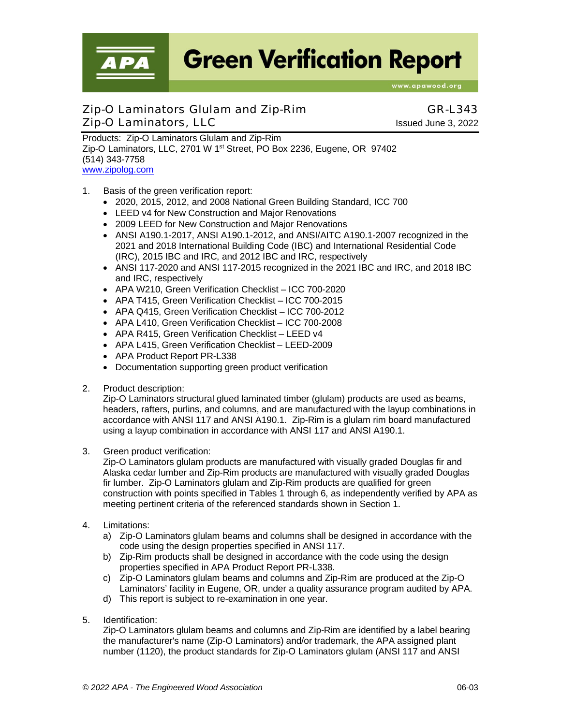**Green Verification Report** 

www.apawood.org

# Zip-O Laminators Glulam and Zip-Rim GR-L343 Zip-O Laminators, LLC Issued June 3, 2022

Products: Zip-O Laminators Glulam and Zip-Rim Zip-O Laminators, LLC, 2701 W 1<sup>st</sup> Street, PO Box 2236, Eugene, OR 97402 (514) 343-7758 [www.zipolog.com](http://www.zipolog.com/)

- 1. Basis of the green verification report:
	- 2020, 2015, 2012, and 2008 National Green Building Standard, ICC 700
	- LEED v4 for New Construction and Major Renovations
	- 2009 LEED for New Construction and Major Renovations
	- ANSI A190.1-2017, ANSI A190.1-2012, and ANSI/AITC A190.1-2007 recognized in the 2021 and 2018 International Building Code (IBC) and International Residential Code (IRC), 2015 IBC and IRC, and 2012 IBC and IRC, respectively
	- ANSI 117-2020 and ANSI 117-2015 recognized in the 2021 IBC and IRC, and 2018 IBC and IRC, respectively
	- APA W210, Green Verification Checklist ICC 700-2020
	- APA T415, Green Verification Checklist ICC 700-2015
	- APA Q415, Green Verification Checklist ICC 700-2012
	- APA L410, Green Verification Checklist ICC 700-2008
	- APA R415, Green Verification Checklist LEED v4
	- APA L415, Green Verification Checklist LEED-2009
	- APA Product Report PR-L338
	- Documentation supporting green product verification
- 2. Product description:

Zip-O Laminators structural glued laminated timber (glulam) products are used as beams, headers, rafters, purlins, and columns, and are manufactured with the layup combinations in accordance with ANSI 117 and ANSI A190.1. Zip-Rim is a glulam rim board manufactured using a layup combination in accordance with ANSI 117 and ANSI A190.1.

3. Green product verification:

Zip-O Laminators glulam products are manufactured with visually graded Douglas fir and Alaska cedar lumber and Zip-Rim products are manufactured with visually graded Douglas fir lumber. Zip-O Laminators glulam and Zip-Rim products are qualified for green construction with points specified in Tables 1 through 6, as independently verified by APA as meeting pertinent criteria of the referenced standards shown in Section 1.

- 4. Limitations:
	- a) Zip-O Laminators glulam beams and columns shall be designed in accordance with the code using the design properties specified in ANSI 117.
	- b) Zip-Rim products shall be designed in accordance with the code using the design properties specified in APA Product Report PR-L338.
	- c) Zip-O Laminators glulam beams and columns and Zip-Rim are produced at the Zip-O Laminators' facility in Eugene, OR, under a quality assurance program audited by APA.
	- d) This report is subject to re-examination in one year.
- 5. Identification:

Zip-O Laminators glulam beams and columns and Zip-Rim are identified by a label bearing the manufacturer's name (Zip-O Laminators) and/or trademark, the APA assigned plant number (1120), the product standards for Zip-O Laminators glulam (ANSI 117 and ANSI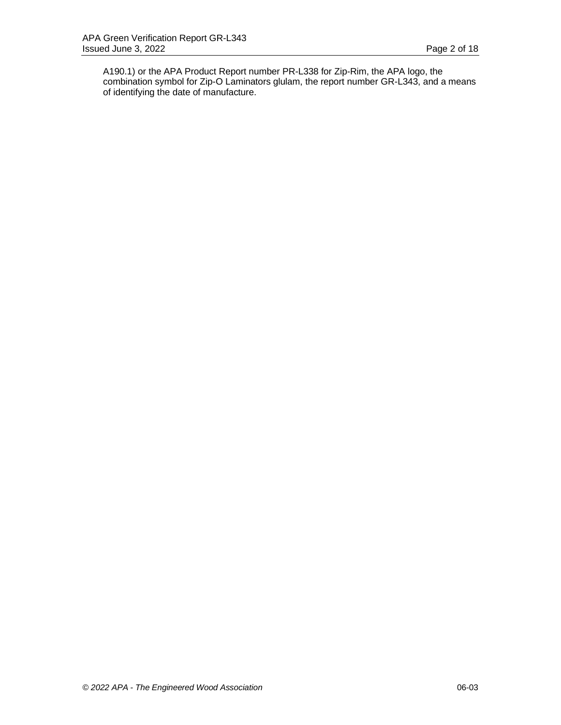A190.1) or the APA Product Report number PR-L338 for Zip-Rim, the APA logo, the combination symbol for Zip-O Laminators glulam, the report number GR-L343, and a means of identifying the date of manufacture.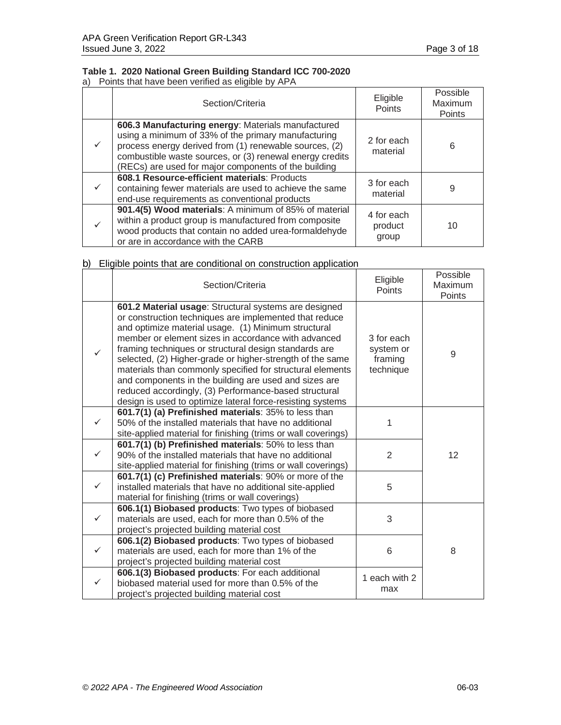# **Table 1. 2020 National Green Building Standard ICC 700-2020**

a) Points that have been verified as eligible by APA

| Section/Criteria                                                                                                                                                                                                                                                                        | Eligible<br>Points             | Possible<br>Maximum<br>Points |
|-----------------------------------------------------------------------------------------------------------------------------------------------------------------------------------------------------------------------------------------------------------------------------------------|--------------------------------|-------------------------------|
| 606.3 Manufacturing energy: Materials manufactured<br>using a minimum of 33% of the primary manufacturing<br>process energy derived from (1) renewable sources, (2)<br>combustible waste sources, or (3) renewal energy credits<br>(RECs) are used for major components of the building | 2 for each<br>material         | 6                             |
| 608.1 Resource-efficient materials: Products<br>containing fewer materials are used to achieve the same<br>end-use requirements as conventional products                                                                                                                                | 3 for each<br>material         | 9                             |
| 901.4(5) Wood materials: A minimum of 85% of material<br>within a product group is manufactured from composite<br>wood products that contain no added urea-formaldehyde<br>or are in accordance with the CARB                                                                           | 4 for each<br>product<br>group | 10                            |

|  |  |  |  | b) Eligible points that are conditional on construction application |  |
|--|--|--|--|---------------------------------------------------------------------|--|
|  |  |  |  |                                                                     |  |
|  |  |  |  |                                                                     |  |

|              | Section/Criteria                                                                                                                                                                                                                                                                                                                                                                                                                                                                                                                                                                                 | Eligible<br><b>Points</b>                       | Possible<br>Maximum<br>Points |
|--------------|--------------------------------------------------------------------------------------------------------------------------------------------------------------------------------------------------------------------------------------------------------------------------------------------------------------------------------------------------------------------------------------------------------------------------------------------------------------------------------------------------------------------------------------------------------------------------------------------------|-------------------------------------------------|-------------------------------|
| ✓            | 601.2 Material usage: Structural systems are designed<br>or construction techniques are implemented that reduce<br>and optimize material usage. (1) Minimum structural<br>member or element sizes in accordance with advanced<br>framing techniques or structural design standards are<br>selected, (2) Higher-grade or higher-strength of the same<br>materials than commonly specified for structural elements<br>and components in the building are used and sizes are<br>reduced accordingly, (3) Performance-based structural<br>design is used to optimize lateral force-resisting systems | 3 for each<br>system or<br>framing<br>technique | 9                             |
|              | 601.7(1) (a) Prefinished materials: 35% to less than<br>50% of the installed materials that have no additional<br>site-applied material for finishing (trims or wall coverings)                                                                                                                                                                                                                                                                                                                                                                                                                  | 1                                               |                               |
| ✓            | 601.7(1) (b) Prefinished materials: 50% to less than<br>90% of the installed materials that have no additional<br>site-applied material for finishing (trims or wall coverings)                                                                                                                                                                                                                                                                                                                                                                                                                  | $\overline{2}$                                  | 12                            |
|              | 601.7(1) (c) Prefinished materials: 90% or more of the<br>installed materials that have no additional site-applied<br>material for finishing (trims or wall coverings)                                                                                                                                                                                                                                                                                                                                                                                                                           | 5                                               |                               |
|              | 606.1(1) Biobased products: Two types of biobased<br>materials are used, each for more than 0.5% of the<br>project's projected building material cost                                                                                                                                                                                                                                                                                                                                                                                                                                            | 3                                               |                               |
| $\checkmark$ | 606.1(2) Biobased products: Two types of biobased<br>materials are used, each for more than 1% of the<br>project's projected building material cost                                                                                                                                                                                                                                                                                                                                                                                                                                              | 6                                               | 8                             |
| ✓            | 606.1(3) Biobased products: For each additional<br>biobased material used for more than 0.5% of the<br>project's projected building material cost                                                                                                                                                                                                                                                                                                                                                                                                                                                | 1 each with 2<br>max                            |                               |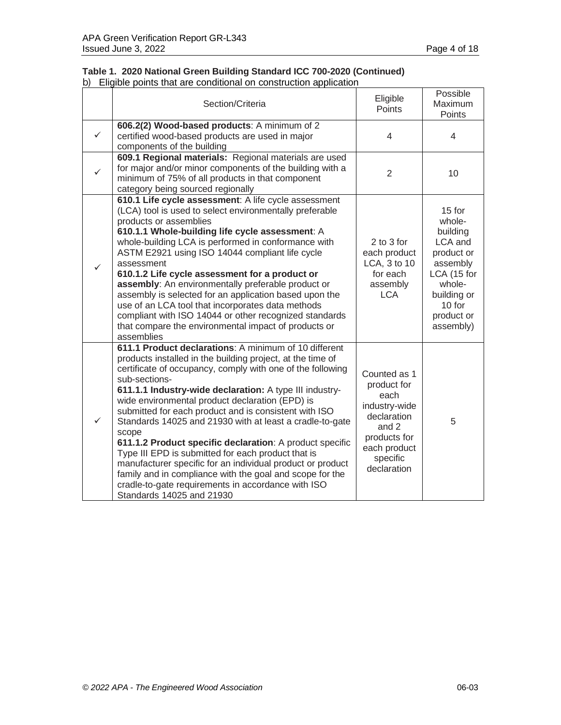|  | Table 1. 2020 National Green Building Standard ICC 700-2020 (Continued) |  |  |  |
|--|-------------------------------------------------------------------------|--|--|--|
|  | b) Eligible points that are conditional on construction application     |  |  |  |

|              | Section/Criteria                                                                                                                                                                                                                                                                                                                                                                                                                                                                                                                                                                                                                                                                                                                                                              | Eligible<br>Points                                                                                                                      | Possible<br>Maximum<br>Points                                                                                                                  |
|--------------|-------------------------------------------------------------------------------------------------------------------------------------------------------------------------------------------------------------------------------------------------------------------------------------------------------------------------------------------------------------------------------------------------------------------------------------------------------------------------------------------------------------------------------------------------------------------------------------------------------------------------------------------------------------------------------------------------------------------------------------------------------------------------------|-----------------------------------------------------------------------------------------------------------------------------------------|------------------------------------------------------------------------------------------------------------------------------------------------|
| $\checkmark$ | 606.2(2) Wood-based products: A minimum of 2<br>certified wood-based products are used in major<br>components of the building                                                                                                                                                                                                                                                                                                                                                                                                                                                                                                                                                                                                                                                 | $\overline{4}$                                                                                                                          | $\overline{\mathcal{A}}$                                                                                                                       |
| ✓            | 609.1 Regional materials: Regional materials are used<br>for major and/or minor components of the building with a<br>minimum of 75% of all products in that component<br>category being sourced regionally                                                                                                                                                                                                                                                                                                                                                                                                                                                                                                                                                                    | $\overline{2}$                                                                                                                          | 10                                                                                                                                             |
| $\checkmark$ | 610.1 Life cycle assessment: A life cycle assessment<br>(LCA) tool is used to select environmentally preferable<br>products or assemblies<br>610.1.1 Whole-building life cycle assessment: A<br>whole-building LCA is performed in conformance with<br>ASTM E2921 using ISO 14044 compliant life cycle<br>assessment<br>610.1.2 Life cycle assessment for a product or<br>assembly: An environmentally preferable product or<br>assembly is selected for an application based upon the<br>use of an LCA tool that incorporates data methods<br>compliant with ISO 14044 or other recognized standards<br>that compare the environmental impact of products or<br>assemblies                                                                                                   | 2 to 3 for<br>each product<br>LCA, 3 to 10<br>for each<br>assembly<br><b>LCA</b>                                                        | 15 for<br>whole-<br>building<br>LCA and<br>product or<br>assembly<br>LCA (15 for<br>whole-<br>building or<br>10 for<br>product or<br>assembly) |
| ✓            | 611.1 Product declarations: A minimum of 10 different<br>products installed in the building project, at the time of<br>certificate of occupancy, comply with one of the following<br>sub-sections-<br>611.1.1 Industry-wide declaration: A type III industry-<br>wide environmental product declaration (EPD) is<br>submitted for each product and is consistent with ISO<br>Standards 14025 and 21930 with at least a cradle-to-gate<br>scope<br>611.1.2 Product specific declaration: A product specific<br>Type III EPD is submitted for each product that is<br>manufacturer specific for an individual product or product<br>family and in compliance with the goal and scope for the<br>cradle-to-gate requirements in accordance with ISO<br>Standards 14025 and 21930 | Counted as 1<br>product for<br>each<br>industry-wide<br>declaration<br>and 2<br>products for<br>each product<br>specific<br>declaration | 5                                                                                                                                              |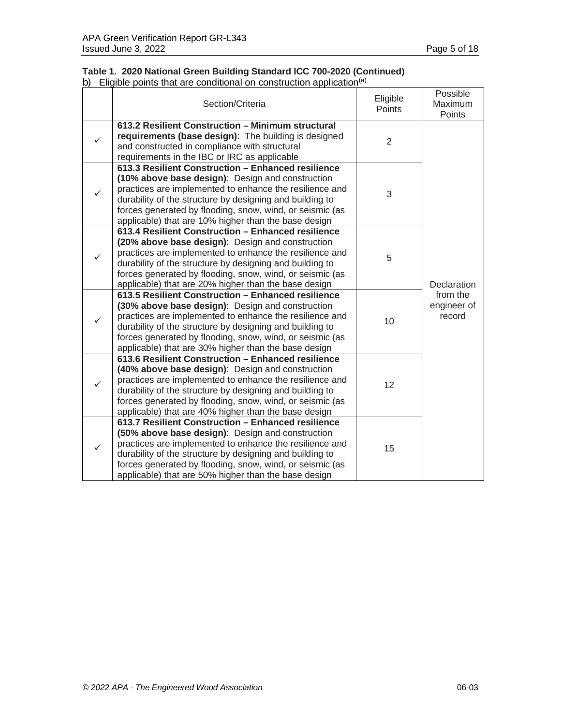## **Table 1. 2020 National Green Building Standard ICC 700-2020 (Continued)** b) Eligible points that are conditional on construction application<sup>(a)</sup>

|   | Section/Criteria                                                                                                                                                                                                                                                                                                                                  | Eligible<br>Points | Possible<br>Maximum<br>Points     |
|---|---------------------------------------------------------------------------------------------------------------------------------------------------------------------------------------------------------------------------------------------------------------------------------------------------------------------------------------------------|--------------------|-----------------------------------|
| ✓ | 613.2 Resilient Construction - Minimum structural<br>requirements (base design): The building is designed<br>and constructed in compliance with structural<br>requirements in the IBC or IRC as applicable                                                                                                                                        | 2                  |                                   |
|   | 613.3 Resilient Construction - Enhanced resilience<br>(10% above base design): Design and construction<br>practices are implemented to enhance the resilience and<br>durability of the structure by designing and building to<br>forces generated by flooding, snow, wind, or seismic (as<br>applicable) that are 10% higher than the base design | 3                  |                                   |
|   | 613.4 Resilient Construction - Enhanced resilience<br>(20% above base design): Design and construction<br>practices are implemented to enhance the resilience and<br>durability of the structure by designing and building to<br>forces generated by flooding, snow, wind, or seismic (as<br>applicable) that are 20% higher than the base design | 5                  | Declaration                       |
|   | 613.5 Resilient Construction - Enhanced resilience<br>(30% above base design): Design and construction<br>practices are implemented to enhance the resilience and<br>durability of the structure by designing and building to<br>forces generated by flooding, snow, wind, or seismic (as<br>applicable) that are 30% higher than the base design | 10                 | from the<br>engineer of<br>record |
| ✓ | 613.6 Resilient Construction - Enhanced resilience<br>(40% above base design): Design and construction<br>practices are implemented to enhance the resilience and<br>durability of the structure by designing and building to<br>forces generated by flooding, snow, wind, or seismic (as<br>applicable) that are 40% higher than the base design | 12                 |                                   |
| ✓ | 613.7 Resilient Construction - Enhanced resilience<br>(50% above base design): Design and construction<br>practices are implemented to enhance the resilience and<br>durability of the structure by designing and building to<br>forces generated by flooding, snow, wind, or seismic (as<br>applicable) that are 50% higher than the base design | 15                 |                                   |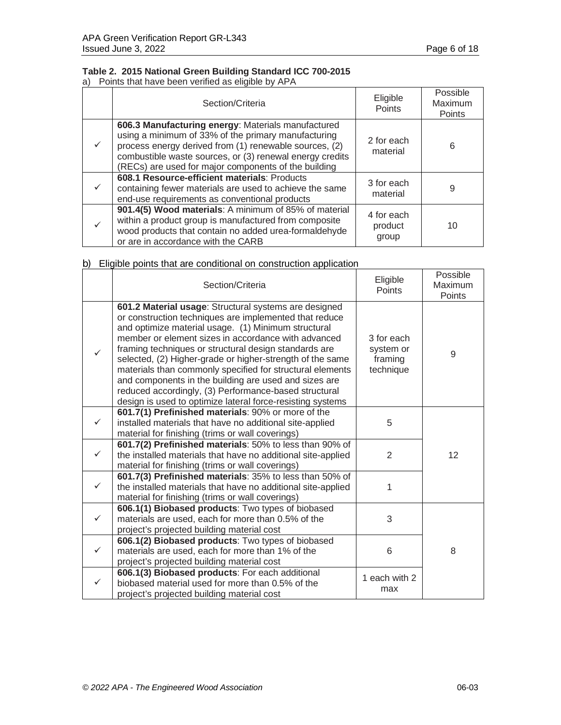# **Table 2. 2015 National Green Building Standard ICC 700-2015**

a) Points that have been verified as eligible by APA

| Section/Criteria                                                                                                                                                                                                                                                                        | Eligible<br>Points             | Possible<br>Maximum<br>Points |
|-----------------------------------------------------------------------------------------------------------------------------------------------------------------------------------------------------------------------------------------------------------------------------------------|--------------------------------|-------------------------------|
| 606.3 Manufacturing energy: Materials manufactured<br>using a minimum of 33% of the primary manufacturing<br>process energy derived from (1) renewable sources, (2)<br>combustible waste sources, or (3) renewal energy credits<br>(RECs) are used for major components of the building | 2 for each<br>material         | 6                             |
| 608.1 Resource-efficient materials: Products<br>containing fewer materials are used to achieve the same<br>end-use requirements as conventional products                                                                                                                                | 3 for each<br>material         | 9                             |
| 901.4(5) Wood materials: A minimum of 85% of material<br>within a product group is manufactured from composite<br>wood products that contain no added urea-formaldehyde<br>or are in accordance with the CARB                                                                           | 4 for each<br>product<br>group | 10                            |

|  |  |  |  | b) Eligible points that are conditional on construction application |  |  |
|--|--|--|--|---------------------------------------------------------------------|--|--|
|  |  |  |  |                                                                     |  |  |

|              | Section/Criteria                                                                                                                                                                                                                                                                                                                                                                                                                                                                                                                                                                                 | Eligible<br><b>Points</b>                       | Possible<br>Maximum<br>Points |
|--------------|--------------------------------------------------------------------------------------------------------------------------------------------------------------------------------------------------------------------------------------------------------------------------------------------------------------------------------------------------------------------------------------------------------------------------------------------------------------------------------------------------------------------------------------------------------------------------------------------------|-------------------------------------------------|-------------------------------|
| $\checkmark$ | 601.2 Material usage: Structural systems are designed<br>or construction techniques are implemented that reduce<br>and optimize material usage. (1) Minimum structural<br>member or element sizes in accordance with advanced<br>framing techniques or structural design standards are<br>selected, (2) Higher-grade or higher-strength of the same<br>materials than commonly specified for structural elements<br>and components in the building are used and sizes are<br>reduced accordingly, (3) Performance-based structural<br>design is used to optimize lateral force-resisting systems | 3 for each<br>system or<br>framing<br>technique | 9                             |
|              | 601.7(1) Prefinished materials: 90% or more of the<br>installed materials that have no additional site-applied<br>material for finishing (trims or wall coverings)                                                                                                                                                                                                                                                                                                                                                                                                                               | 5                                               |                               |
| $\checkmark$ | 601.7(2) Prefinished materials: 50% to less than 90% of<br>the installed materials that have no additional site-applied<br>material for finishing (trims or wall coverings)                                                                                                                                                                                                                                                                                                                                                                                                                      | 2                                               | 12                            |
|              | 601.7(3) Prefinished materials: 35% to less than 50% of<br>the installed materials that have no additional site-applied<br>material for finishing (trims or wall coverings)                                                                                                                                                                                                                                                                                                                                                                                                                      |                                                 |                               |
|              | 606.1(1) Biobased products: Two types of biobased<br>materials are used, each for more than 0.5% of the<br>project's projected building material cost                                                                                                                                                                                                                                                                                                                                                                                                                                            | 3                                               |                               |
| $\checkmark$ | 606.1(2) Biobased products: Two types of biobased<br>materials are used, each for more than 1% of the<br>project's projected building material cost                                                                                                                                                                                                                                                                                                                                                                                                                                              | 6                                               | 8                             |
| ✓            | 606.1(3) Biobased products: For each additional<br>biobased material used for more than 0.5% of the<br>project's projected building material cost                                                                                                                                                                                                                                                                                                                                                                                                                                                | 1 each with 2<br>max                            |                               |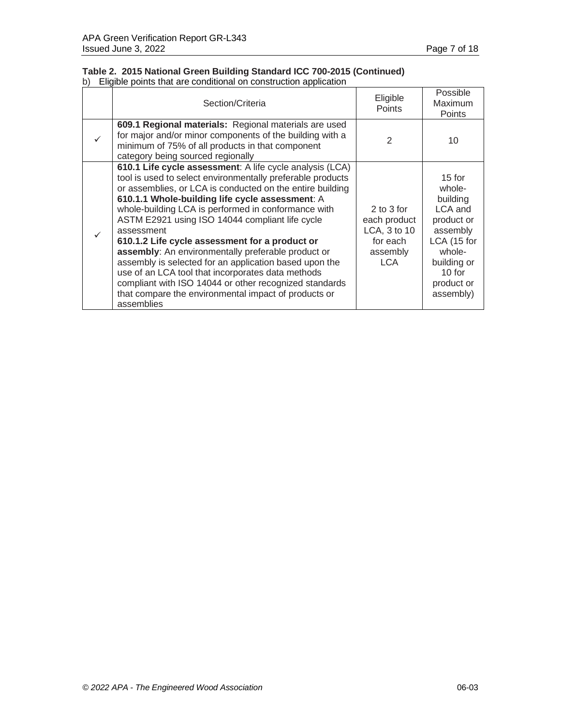### **Table 2. 2015 National Green Building Standard ICC 700-2015 (Continued)** b) Eligible points that are conditional on construction application

| Section/Criteria                                                                                                                                                                                                                                                                                                                                                                                                                                                                                                                                                                                                                                                                                                      | Eligible<br><b>Points</b>                                                     | Possible<br>Maximum<br>Points                                                                                                                      |
|-----------------------------------------------------------------------------------------------------------------------------------------------------------------------------------------------------------------------------------------------------------------------------------------------------------------------------------------------------------------------------------------------------------------------------------------------------------------------------------------------------------------------------------------------------------------------------------------------------------------------------------------------------------------------------------------------------------------------|-------------------------------------------------------------------------------|----------------------------------------------------------------------------------------------------------------------------------------------------|
| 609.1 Regional materials: Regional materials are used<br>for major and/or minor components of the building with a<br>minimum of 75% of all products in that component<br>category being sourced regionally                                                                                                                                                                                                                                                                                                                                                                                                                                                                                                            | $\mathfrak{p}$                                                                | 10                                                                                                                                                 |
| 610.1 Life cycle assessment: A life cycle analysis (LCA)<br>tool is used to select environmentally preferable products<br>or assemblies, or LCA is conducted on the entire building<br>610.1.1 Whole-building life cycle assessment: A<br>whole-building LCA is performed in conformance with<br>ASTM E2921 using ISO 14044 compliant life cycle<br>assessment<br>610.1.2 Life cycle assessment for a product or<br>assembly: An environmentally preferable product or<br>assembly is selected for an application based upon the<br>use of an LCA tool that incorporates data methods<br>compliant with ISO 14044 or other recognized standards<br>that compare the environmental impact of products or<br>assemblies | $2$ to $3$ for<br>each product<br>LCA, 3 to 10<br>for each<br>assembly<br>LCA | $15$ for<br>whole-<br>building<br>LCA and<br>product or<br>assembly<br>LCA (15 for<br>whole-<br>building or<br>$10$ for<br>product or<br>assembly) |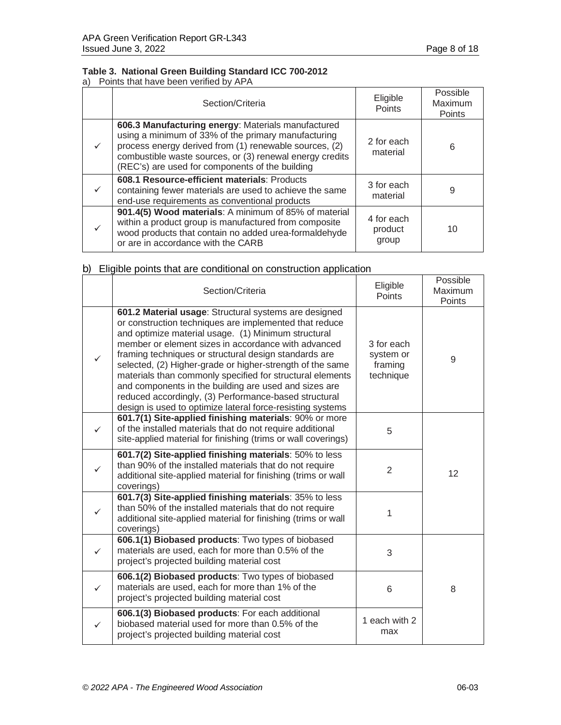# **Table 3. National Green Building Standard ICC 700-2012**

a) Points that have been verified by APA

|              | Section/Criteria                                                                                                                                                                                                                                                                   | Eligible<br>Points             | Possible<br>Maximum<br>Points |
|--------------|------------------------------------------------------------------------------------------------------------------------------------------------------------------------------------------------------------------------------------------------------------------------------------|--------------------------------|-------------------------------|
|              | 606.3 Manufacturing energy: Materials manufactured<br>using a minimum of 33% of the primary manufacturing<br>process energy derived from (1) renewable sources, (2)<br>combustible waste sources, or (3) renewal energy credits<br>(REC's) are used for components of the building | 2 for each<br>material         | 6                             |
| $\checkmark$ | 608.1 Resource-efficient materials: Products<br>containing fewer materials are used to achieve the same<br>end-use requirements as conventional products                                                                                                                           | 3 for each<br>material         | 9                             |
|              | 901.4(5) Wood materials: A minimum of 85% of material<br>within a product group is manufactured from composite<br>wood products that contain no added urea-formaldehyde<br>or are in accordance with the CARB                                                                      | 4 for each<br>product<br>group | 10                            |

|              | Section/Criteria                                                                                                                                                                                                                                                                                                                                                                                                                                                                                                                                                                                 | Eligible<br><b>Points</b>                       | Possible<br>Maximum<br>Points |
|--------------|--------------------------------------------------------------------------------------------------------------------------------------------------------------------------------------------------------------------------------------------------------------------------------------------------------------------------------------------------------------------------------------------------------------------------------------------------------------------------------------------------------------------------------------------------------------------------------------------------|-------------------------------------------------|-------------------------------|
| $\checkmark$ | 601.2 Material usage: Structural systems are designed<br>or construction techniques are implemented that reduce<br>and optimize material usage. (1) Minimum structural<br>member or element sizes in accordance with advanced<br>framing techniques or structural design standards are<br>selected, (2) Higher-grade or higher-strength of the same<br>materials than commonly specified for structural elements<br>and components in the building are used and sizes are<br>reduced accordingly, (3) Performance-based structural<br>design is used to optimize lateral force-resisting systems | 3 for each<br>system or<br>framing<br>technique | 9                             |
| ✓            | 601.7(1) Site-applied finishing materials: 90% or more<br>of the installed materials that do not require additional<br>site-applied material for finishing (trims or wall coverings)                                                                                                                                                                                                                                                                                                                                                                                                             | 5                                               |                               |
| ✓            | 601.7(2) Site-applied finishing materials: 50% to less<br>than 90% of the installed materials that do not require<br>additional site-applied material for finishing (trims or wall<br>coverings)                                                                                                                                                                                                                                                                                                                                                                                                 | 2                                               | 12                            |
|              | 601.7(3) Site-applied finishing materials: 35% to less<br>than 50% of the installed materials that do not require<br>additional site-applied material for finishing (trims or wall<br>coverings)                                                                                                                                                                                                                                                                                                                                                                                                 | 1                                               |                               |
| $\checkmark$ | 606.1(1) Biobased products: Two types of biobased<br>materials are used, each for more than 0.5% of the<br>project's projected building material cost                                                                                                                                                                                                                                                                                                                                                                                                                                            | 3                                               |                               |
| ✓            | 606.1(2) Biobased products: Two types of biobased<br>materials are used, each for more than 1% of the<br>project's projected building material cost                                                                                                                                                                                                                                                                                                                                                                                                                                              | 6                                               | 8                             |
| $\checkmark$ | 606.1(3) Biobased products: For each additional<br>biobased material used for more than 0.5% of the<br>project's projected building material cost                                                                                                                                                                                                                                                                                                                                                                                                                                                | 1 each with 2<br>max                            |                               |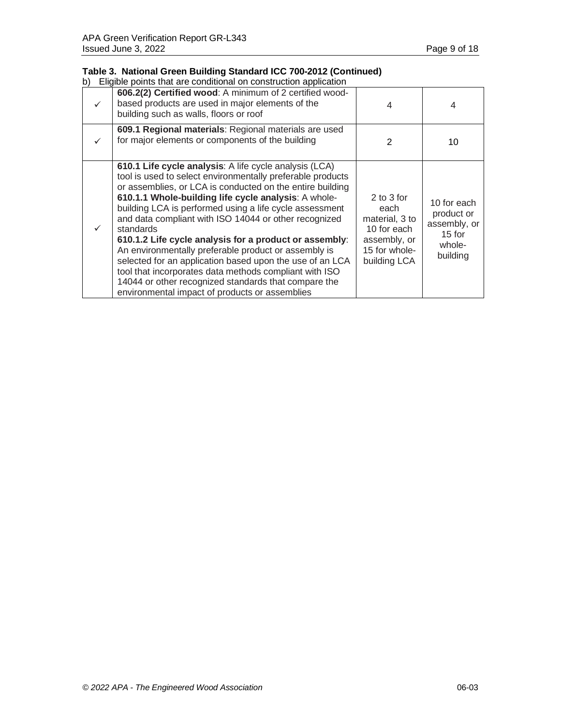### **Table 3. National Green Building Standard ICC 700-2012 (Continued)**

| 606.2(2) Certified wood: A minimum of 2 certified wood-<br>based products are used in major elements of the<br>building such as walls, floors or roof                                                                                                                                                                                                                                                                                                                                                                                                                                                                                                                                                                        | 4                                                                                                    | 4                                                                           |
|------------------------------------------------------------------------------------------------------------------------------------------------------------------------------------------------------------------------------------------------------------------------------------------------------------------------------------------------------------------------------------------------------------------------------------------------------------------------------------------------------------------------------------------------------------------------------------------------------------------------------------------------------------------------------------------------------------------------------|------------------------------------------------------------------------------------------------------|-----------------------------------------------------------------------------|
| 609.1 Regional materials: Regional materials are used<br>for major elements or components of the building                                                                                                                                                                                                                                                                                                                                                                                                                                                                                                                                                                                                                    | 2                                                                                                    | 10                                                                          |
| 610.1 Life cycle analysis: A life cycle analysis (LCA)<br>tool is used to select environmentally preferable products<br>or assemblies, or LCA is conducted on the entire building<br>610.1.1 Whole-building life cycle analysis: A whole-<br>building LCA is performed using a life cycle assessment<br>and data compliant with ISO 14044 or other recognized<br>standards<br>610.1.2 Life cycle analysis for a product or assembly:<br>An environmentally preferable product or assembly is<br>selected for an application based upon the use of an LCA<br>tool that incorporates data methods compliant with ISO<br>14044 or other recognized standards that compare the<br>environmental impact of products or assemblies | 2 to 3 for<br>each<br>material, 3 to<br>10 for each<br>assembly, or<br>15 for whole-<br>building LCA | 10 for each<br>product or<br>assembly, or<br>$15$ for<br>whole-<br>building |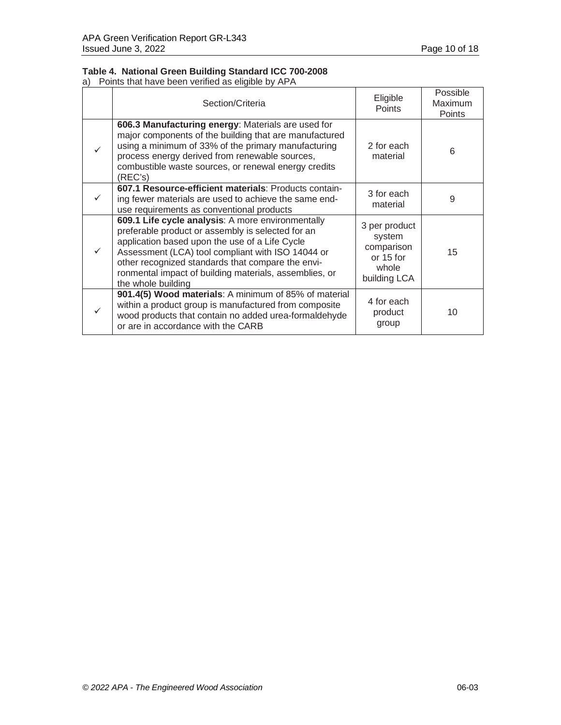# **Table 4. National Green Building Standard ICC 700-2008**

a) Points that have been verified as eligible by APA

| Section/Criteria                                                                                                                                                                                                                                                                                                                                   | Eligible<br>Points                                                          | Possible<br>Maximum<br><b>Points</b> |
|----------------------------------------------------------------------------------------------------------------------------------------------------------------------------------------------------------------------------------------------------------------------------------------------------------------------------------------------------|-----------------------------------------------------------------------------|--------------------------------------|
| 606.3 Manufacturing energy: Materials are used for<br>major components of the building that are manufactured<br>using a minimum of 33% of the primary manufacturing<br>process energy derived from renewable sources,<br>combustible waste sources, or renewal energy credits<br>(REC's)                                                           | 2 for each<br>material                                                      | 6                                    |
| 607.1 Resource-efficient materials: Products contain-<br>ing fewer materials are used to achieve the same end-<br>use requirements as conventional products                                                                                                                                                                                        | 3 for each<br>material                                                      | 9                                    |
| 609.1 Life cycle analysis: A more environmentally<br>preferable product or assembly is selected for an<br>application based upon the use of a Life Cycle<br>Assessment (LCA) tool compliant with ISO 14044 or<br>other recognized standards that compare the envi-<br>ronmental impact of building materials, assemblies, or<br>the whole building | 3 per product<br>system<br>comparison<br>or 15 for<br>whole<br>building LCA | 15                                   |
| 901.4(5) Wood materials: A minimum of 85% of material<br>within a product group is manufactured from composite<br>wood products that contain no added urea-formaldehyde<br>or are in accordance with the CARB                                                                                                                                      | 4 for each<br>product<br>group                                              | 10                                   |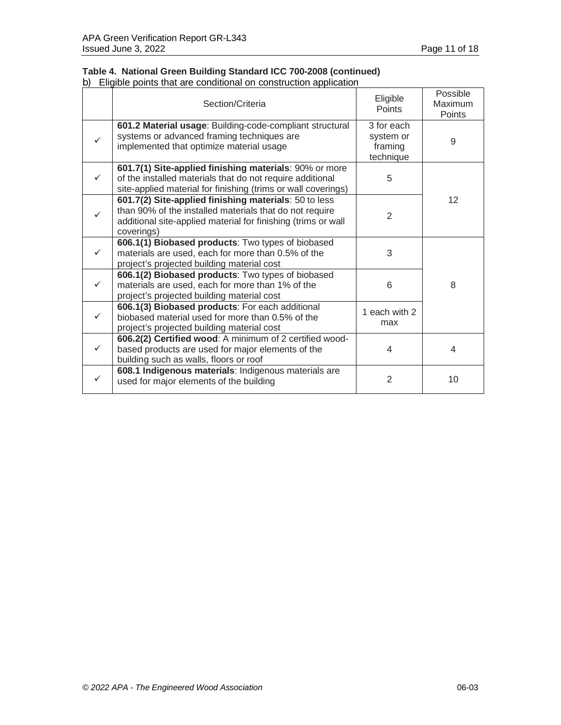#### **Table 4. National Green Building Standard ICC 700-2008 (continued)** b) Eligible points that are conditional on construction application

| Section/Criteria                                                                                                                                                                                | Eligible<br><b>Points</b>                       | Possible<br>Maximum<br><b>Points</b> |
|-------------------------------------------------------------------------------------------------------------------------------------------------------------------------------------------------|-------------------------------------------------|--------------------------------------|
| 601.2 Material usage: Building-code-compliant structural<br>systems or advanced framing techniques are<br>implemented that optimize material usage                                              | 3 for each<br>system or<br>framing<br>technique | 9                                    |
| 601.7(1) Site-applied finishing materials: 90% or more<br>of the installed materials that do not require additional<br>site-applied material for finishing (trims or wall coverings)            | 5                                               |                                      |
| 601.7(2) Site-applied finishing materials: 50 to less<br>than 90% of the installed materials that do not require<br>additional site-applied material for finishing (trims or wall<br>coverings) | $\mathfrak{D}$                                  | 12                                   |
| 606.1(1) Biobased products: Two types of biobased<br>materials are used, each for more than 0.5% of the<br>project's projected building material cost                                           | 3                                               |                                      |
| 606.1(2) Biobased products: Two types of biobased<br>materials are used, each for more than 1% of the<br>project's projected building material cost                                             | 6                                               | 8                                    |
| 606.1(3) Biobased products: For each additional<br>biobased material used for more than 0.5% of the<br>project's projected building material cost                                               | 1 each with 2<br>max                            |                                      |
| 606.2(2) Certified wood: A minimum of 2 certified wood-<br>based products are used for major elements of the<br>building such as walls, floors or roof                                          | 4                                               | 4                                    |
| 608.1 Indigenous materials: Indigenous materials are<br>used for major elements of the building                                                                                                 | $\overline{2}$                                  | 10                                   |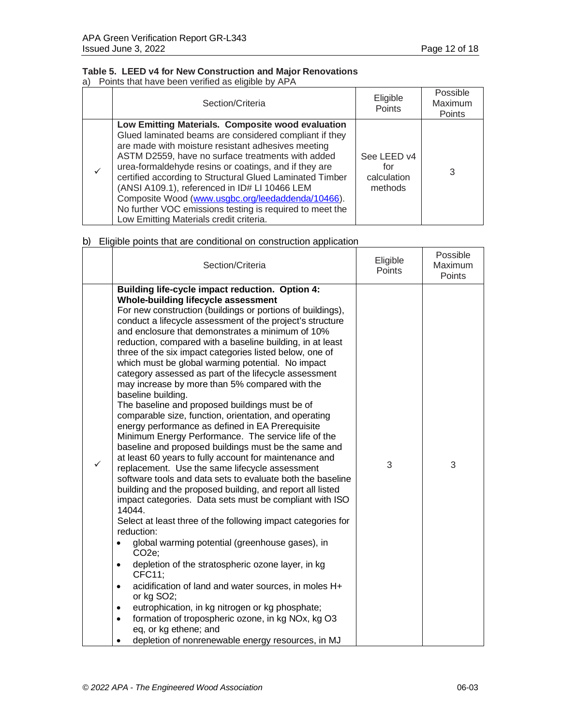# **Table 5. LEED v4 for New Construction and Major Renovations**

a) Points that have been verified as eligible by APA

| Section/Criteria                                                                                                                                                                                                                                                                                                                                                                                                                                                                                                                                         | Eligible<br>Points                           | Possible<br>Maximum<br>Points |
|----------------------------------------------------------------------------------------------------------------------------------------------------------------------------------------------------------------------------------------------------------------------------------------------------------------------------------------------------------------------------------------------------------------------------------------------------------------------------------------------------------------------------------------------------------|----------------------------------------------|-------------------------------|
| Low Emitting Materials. Composite wood evaluation<br>Glued laminated beams are considered compliant if they<br>are made with moisture resistant adhesives meeting<br>ASTM D2559, have no surface treatments with added<br>urea-formaldehyde resins or coatings, and if they are<br>certified according to Structural Glued Laminated Timber<br>(ANSI A109.1), referenced in ID# LI 10466 LEM<br>Composite Wood (www.usgbc.org/leedaddenda/10466).<br>No further VOC emissions testing is required to meet the<br>Low Emitting Materials credit criteria. | See LEED v4<br>for<br>calculation<br>methods | 3                             |

| Section/Criteria                                                                                                                                                                                                                                                                                                                                                                                                                                                                                                                                                                                                                                                                                                                                                                                                                                                                                                                                                                                                                                                                                                                                                                                                                                                                                                                                                                                                                                                                                                                                                                                                                                                                                                       | Eligible<br>Points | Possible<br>Maximum<br>Points |
|------------------------------------------------------------------------------------------------------------------------------------------------------------------------------------------------------------------------------------------------------------------------------------------------------------------------------------------------------------------------------------------------------------------------------------------------------------------------------------------------------------------------------------------------------------------------------------------------------------------------------------------------------------------------------------------------------------------------------------------------------------------------------------------------------------------------------------------------------------------------------------------------------------------------------------------------------------------------------------------------------------------------------------------------------------------------------------------------------------------------------------------------------------------------------------------------------------------------------------------------------------------------------------------------------------------------------------------------------------------------------------------------------------------------------------------------------------------------------------------------------------------------------------------------------------------------------------------------------------------------------------------------------------------------------------------------------------------------|--------------------|-------------------------------|
| Building life-cycle impact reduction. Option 4:<br>Whole-building lifecycle assessment<br>For new construction (buildings or portions of buildings),<br>conduct a lifecycle assessment of the project's structure<br>and enclosure that demonstrates a minimum of 10%<br>reduction, compared with a baseline building, in at least<br>three of the six impact categories listed below, one of<br>which must be global warming potential. No impact<br>category assessed as part of the lifecycle assessment<br>may increase by more than 5% compared with the<br>baseline building.<br>The baseline and proposed buildings must be of<br>comparable size, function, orientation, and operating<br>energy performance as defined in EA Prerequisite<br>Minimum Energy Performance. The service life of the<br>baseline and proposed buildings must be the same and<br>at least 60 years to fully account for maintenance and<br>replacement. Use the same lifecycle assessment<br>software tools and data sets to evaluate both the baseline<br>building and the proposed building, and report all listed<br>impact categories. Data sets must be compliant with ISO<br>14044.<br>Select at least three of the following impact categories for<br>reduction:<br>global warming potential (greenhouse gases), in<br>$\bullet$<br>$CO2e$ ;<br>depletion of the stratospheric ozone layer, in kg<br>$\bullet$<br>CFC11;<br>acidification of land and water sources, in moles H+<br>$\bullet$<br>or kg SO2;<br>eutrophication, in kg nitrogen or kg phosphate;<br>$\bullet$<br>formation of tropospheric ozone, in kg NOx, kg O3<br>$\bullet$<br>eq, or kg ethene; and<br>depletion of nonrenewable energy resources, in MJ | 3                  | 3                             |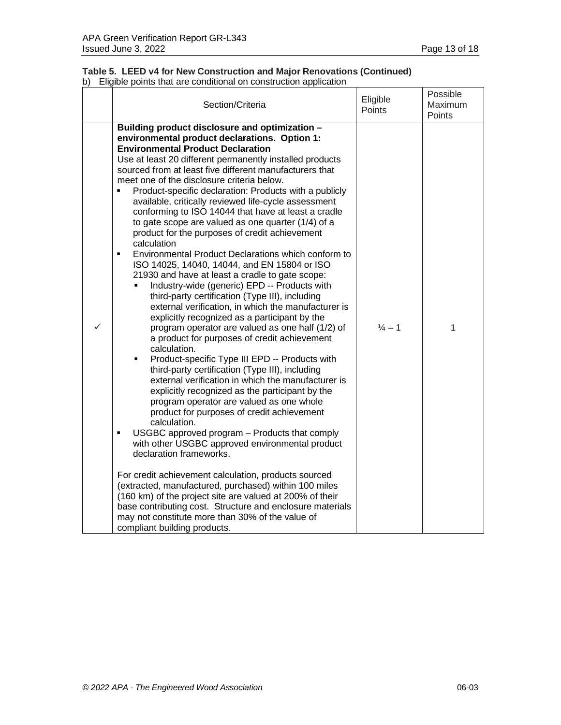|  | Table 5. LEED v4 for New Construction and Major Renovations (Continued) |  |
|--|-------------------------------------------------------------------------|--|
|  | b) Eligible points that are conditional on construction application     |  |

|   | Section/Criteria                                                                                                                                                                                                                                                                                                                                                                                                                                                                                                                                                                                                                                                                                                                                                                                                                                                                                                                                                                                                                                                                                                                                                                                                                                                                                                                                                                                                                                                                                                                                                                                                                                                                                                                                                                                                                                                                                                                                          | Eligible<br>Points | Possible<br>Maximum<br>Points |
|---|-----------------------------------------------------------------------------------------------------------------------------------------------------------------------------------------------------------------------------------------------------------------------------------------------------------------------------------------------------------------------------------------------------------------------------------------------------------------------------------------------------------------------------------------------------------------------------------------------------------------------------------------------------------------------------------------------------------------------------------------------------------------------------------------------------------------------------------------------------------------------------------------------------------------------------------------------------------------------------------------------------------------------------------------------------------------------------------------------------------------------------------------------------------------------------------------------------------------------------------------------------------------------------------------------------------------------------------------------------------------------------------------------------------------------------------------------------------------------------------------------------------------------------------------------------------------------------------------------------------------------------------------------------------------------------------------------------------------------------------------------------------------------------------------------------------------------------------------------------------------------------------------------------------------------------------------------------------|--------------------|-------------------------------|
| ✓ | Building product disclosure and optimization -<br>environmental product declarations. Option 1:<br><b>Environmental Product Declaration</b><br>Use at least 20 different permanently installed products<br>sourced from at least five different manufacturers that<br>meet one of the disclosure criteria below.<br>Product-specific declaration: Products with a publicly<br>$\blacksquare$<br>available, critically reviewed life-cycle assessment<br>conforming to ISO 14044 that have at least a cradle<br>to gate scope are valued as one quarter (1/4) of a<br>product for the purposes of credit achievement<br>calculation<br>Environmental Product Declarations which conform to<br>$\blacksquare$<br>ISO 14025, 14040, 14044, and EN 15804 or ISO<br>21930 and have at least a cradle to gate scope:<br>Industry-wide (generic) EPD -- Products with<br>third-party certification (Type III), including<br>external verification, in which the manufacturer is<br>explicitly recognized as a participant by the<br>program operator are valued as one half (1/2) of<br>a product for purposes of credit achievement<br>calculation.<br>Product-specific Type III EPD -- Products with<br>$\blacksquare$<br>third-party certification (Type III), including<br>external verification in which the manufacturer is<br>explicitly recognized as the participant by the<br>program operator are valued as one whole<br>product for purposes of credit achievement<br>calculation.<br>USGBC approved program - Products that comply<br>٠<br>with other USGBC approved environmental product<br>declaration frameworks.<br>For credit achievement calculation, products sourced<br>(extracted, manufactured, purchased) within 100 miles<br>(160 km) of the project site are valued at 200% of their<br>base contributing cost. Structure and enclosure materials<br>may not constitute more than 30% of the value of<br>compliant building products. | $\frac{1}{4} - 1$  | 1                             |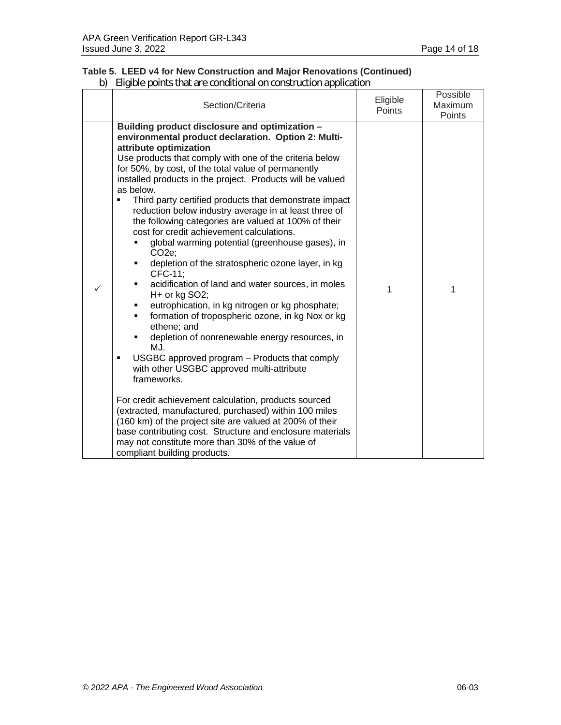# **Table 5. LEED v4 for New Construction and Major Renovations (Continued)**

|              | Section/Criteria                                                                                                                                                                                                                                                                                                                                                                                                                                                                                                                                                                                                                                                                                                                                                                                                                                                                                                                                                                                                                                                                                                                                                                                                                                                                                                                                                                                                             | Eligible<br><b>Points</b> | Possible<br>Maximum<br>Points |
|--------------|------------------------------------------------------------------------------------------------------------------------------------------------------------------------------------------------------------------------------------------------------------------------------------------------------------------------------------------------------------------------------------------------------------------------------------------------------------------------------------------------------------------------------------------------------------------------------------------------------------------------------------------------------------------------------------------------------------------------------------------------------------------------------------------------------------------------------------------------------------------------------------------------------------------------------------------------------------------------------------------------------------------------------------------------------------------------------------------------------------------------------------------------------------------------------------------------------------------------------------------------------------------------------------------------------------------------------------------------------------------------------------------------------------------------------|---------------------------|-------------------------------|
| $\checkmark$ | Building product disclosure and optimization -<br>environmental product declaration. Option 2: Multi-<br>attribute optimization<br>Use products that comply with one of the criteria below<br>for 50%, by cost, of the total value of permanently<br>installed products in the project. Products will be valued<br>as below.<br>Third party certified products that demonstrate impact<br>reduction below industry average in at least three of<br>the following categories are valued at 100% of their<br>cost for credit achievement calculations.<br>global warming potential (greenhouse gases), in<br>CO <sub>2</sub> e;<br>depletion of the stratospheric ozone layer, in kg<br>٠<br>CFC-11;<br>acidification of land and water sources, in moles<br>٠<br>H+ or kg SO2;<br>eutrophication, in kg nitrogen or kg phosphate;<br>Ξ<br>formation of tropospheric ozone, in kg Nox or kg<br>٠<br>ethene; and<br>depletion of nonrenewable energy resources, in<br>٠<br>M.J.<br>USGBC approved program – Products that comply<br>٠<br>with other USGBC approved multi-attribute<br>frameworks.<br>For credit achievement calculation, products sourced<br>(extracted, manufactured, purchased) within 100 miles<br>(160 km) of the project site are valued at 200% of their<br>base contributing cost. Structure and enclosure materials<br>may not constitute more than 30% of the value of<br>compliant building products. | 1                         | 1                             |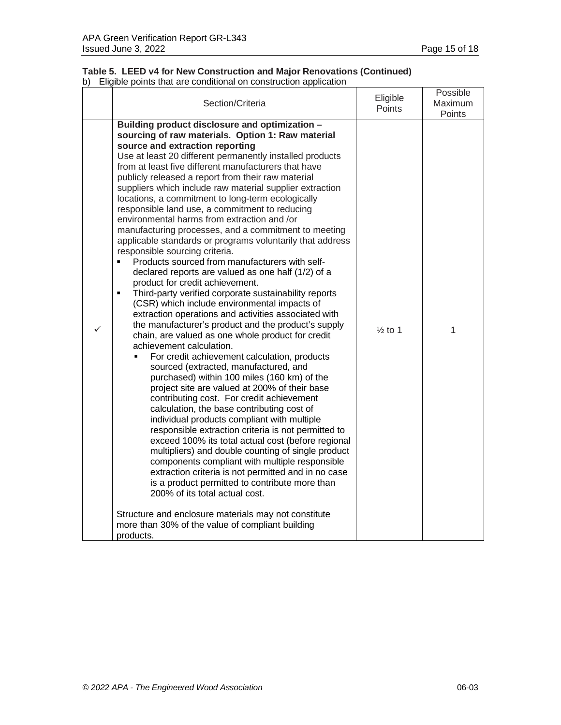#### **Table 5. LEED v4 for New Construction and Major Renovations (Continued)** b) Eligible points that are conditional on construction application

|   | Section/Criteria                                                                                                                                                                                                                                                                                                                                                                                                                                                                                                                                                                                                                                                                                                                                                                                                                                                                                                                                                                                                                                                                                                                                                                                                                                                                                                                                                                                                                                                                                                                                                                                                                                                                                                                                                                                                                                                                                                                                                               | Eligible<br>Points | Possible<br>Maximum<br>Points |
|---|--------------------------------------------------------------------------------------------------------------------------------------------------------------------------------------------------------------------------------------------------------------------------------------------------------------------------------------------------------------------------------------------------------------------------------------------------------------------------------------------------------------------------------------------------------------------------------------------------------------------------------------------------------------------------------------------------------------------------------------------------------------------------------------------------------------------------------------------------------------------------------------------------------------------------------------------------------------------------------------------------------------------------------------------------------------------------------------------------------------------------------------------------------------------------------------------------------------------------------------------------------------------------------------------------------------------------------------------------------------------------------------------------------------------------------------------------------------------------------------------------------------------------------------------------------------------------------------------------------------------------------------------------------------------------------------------------------------------------------------------------------------------------------------------------------------------------------------------------------------------------------------------------------------------------------------------------------------------------------|--------------------|-------------------------------|
| ✓ | Building product disclosure and optimization -<br>sourcing of raw materials. Option 1: Raw material<br>source and extraction reporting<br>Use at least 20 different permanently installed products<br>from at least five different manufacturers that have<br>publicly released a report from their raw material<br>suppliers which include raw material supplier extraction<br>locations, a commitment to long-term ecologically<br>responsible land use, a commitment to reducing<br>environmental harms from extraction and /or<br>manufacturing processes, and a commitment to meeting<br>applicable standards or programs voluntarily that address<br>responsible sourcing criteria.<br>Products sourced from manufacturers with self-<br>declared reports are valued as one half (1/2) of a<br>product for credit achievement.<br>Third-party verified corporate sustainability reports<br>٠<br>(CSR) which include environmental impacts of<br>extraction operations and activities associated with<br>the manufacturer's product and the product's supply<br>chain, are valued as one whole product for credit<br>achievement calculation.<br>For credit achievement calculation, products<br>sourced (extracted, manufactured, and<br>purchased) within 100 miles (160 km) of the<br>project site are valued at 200% of their base<br>contributing cost. For credit achievement<br>calculation, the base contributing cost of<br>individual products compliant with multiple<br>responsible extraction criteria is not permitted to<br>exceed 100% its total actual cost (before regional<br>multipliers) and double counting of single product<br>components compliant with multiple responsible<br>extraction criteria is not permitted and in no case<br>is a product permitted to contribute more than<br>200% of its total actual cost.<br>Structure and enclosure materials may not constitute<br>more than 30% of the value of compliant building<br>products. | $\frac{1}{2}$ to 1 | 1                             |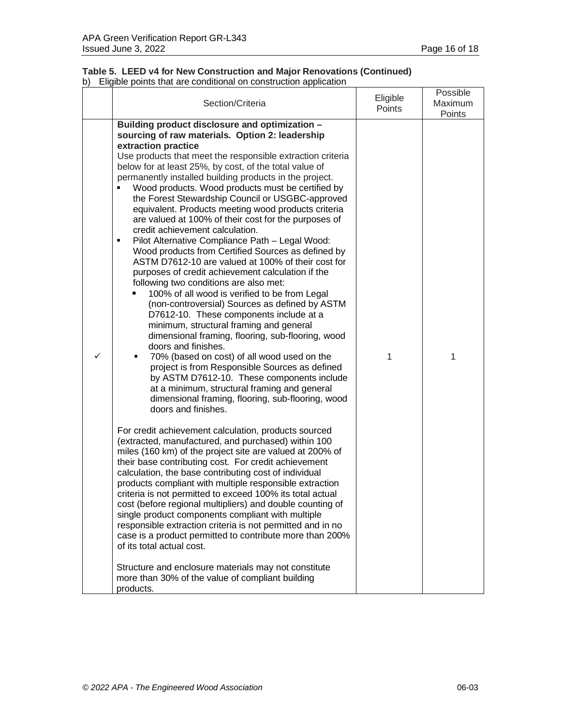### **Table 5. LEED v4 for New Construction and Major Renovations (Continued)** b) Eligible points that are conditional on construction application

| Section/Criteria                                                                                                                                                                                                                                                                                                                                                                                                                                                                                                                                                                                                                                                                                                                                                                                                                                                                                                                                                                                                                                                                                                                                                                                                                                                                                                                                                                               | Eligible<br>Points | Possible<br><b>Maximum</b><br>Points |
|------------------------------------------------------------------------------------------------------------------------------------------------------------------------------------------------------------------------------------------------------------------------------------------------------------------------------------------------------------------------------------------------------------------------------------------------------------------------------------------------------------------------------------------------------------------------------------------------------------------------------------------------------------------------------------------------------------------------------------------------------------------------------------------------------------------------------------------------------------------------------------------------------------------------------------------------------------------------------------------------------------------------------------------------------------------------------------------------------------------------------------------------------------------------------------------------------------------------------------------------------------------------------------------------------------------------------------------------------------------------------------------------|--------------------|--------------------------------------|
| Building product disclosure and optimization -<br>sourcing of raw materials. Option 2: leadership<br>extraction practice<br>Use products that meet the responsible extraction criteria<br>below for at least 25%, by cost, of the total value of<br>permanently installed building products in the project.<br>Wood products. Wood products must be certified by<br>the Forest Stewardship Council or USGBC-approved<br>equivalent. Products meeting wood products criteria<br>are valued at 100% of their cost for the purposes of<br>credit achievement calculation.<br>Pilot Alternative Compliance Path - Legal Wood:<br>٠<br>Wood products from Certified Sources as defined by<br>ASTM D7612-10 are valued at 100% of their cost for<br>purposes of credit achievement calculation if the<br>following two conditions are also met:<br>100% of all wood is verified to be from Legal<br>(non-controversial) Sources as defined by ASTM<br>D7612-10. These components include at a<br>minimum, structural framing and general<br>dimensional framing, flooring, sub-flooring, wood<br>doors and finishes.<br>70% (based on cost) of all wood used on the<br>٠<br>project is from Responsible Sources as defined<br>by ASTM D7612-10. These components include<br>at a minimum, structural framing and general<br>dimensional framing, flooring, sub-flooring, wood<br>doors and finishes. | 1                  | 1                                    |
| For credit achievement calculation, products sourced<br>(extracted, manufactured, and purchased) within 100<br>miles (160 km) of the project site are valued at 200% of<br>their base contributing cost. For credit achievement<br>calculation, the base contributing cost of individual<br>products compliant with multiple responsible extraction<br>criteria is not permitted to exceed 100% its total actual<br>cost (before regional multipliers) and double counting of<br>single product components compliant with multiple<br>responsible extraction criteria is not permitted and in no<br>case is a product permitted to contribute more than 200%<br>of its total actual cost.<br>Structure and enclosure materials may not constitute<br>more than 30% of the value of compliant building<br>products.                                                                                                                                                                                                                                                                                                                                                                                                                                                                                                                                                                             |                    |                                      |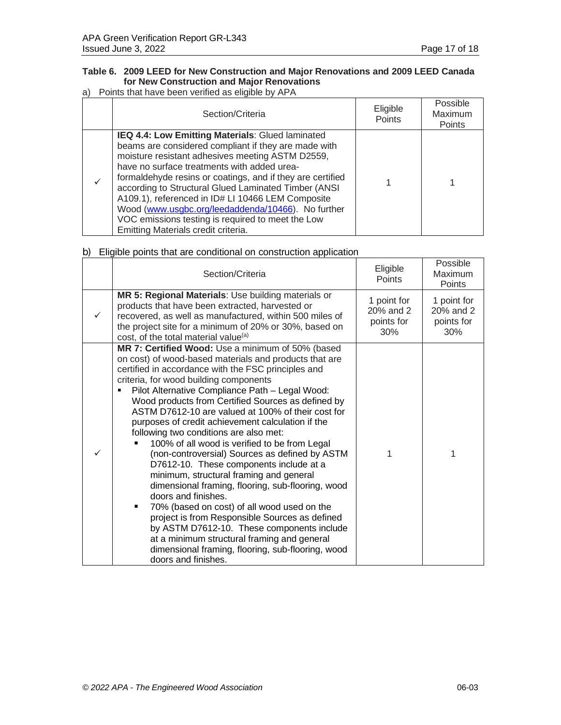## **Table 6. 2009 LEED for New Construction and Major Renovations and 2009 LEED Canada for New Construction and Major Renovations**

#### a) Points that have been verified as eligible by APA

| Section/Criteria                                                                                                                                                                                                                                                                                                                                                                                                                                                                                                                         | Eligible<br>Points | Possible<br>Maximum<br>Points |
|------------------------------------------------------------------------------------------------------------------------------------------------------------------------------------------------------------------------------------------------------------------------------------------------------------------------------------------------------------------------------------------------------------------------------------------------------------------------------------------------------------------------------------------|--------------------|-------------------------------|
| IEQ 4.4: Low Emitting Materials: Glued laminated<br>beams are considered compliant if they are made with<br>moisture resistant adhesives meeting ASTM D2559,<br>have no surface treatments with added urea-<br>formaldehyde resins or coatings, and if they are certified<br>according to Structural Glued Laminated Timber (ANSI<br>A109.1), referenced in ID# LI 10466 LEM Composite<br>Wood (www.usgbc.org/leedaddenda/10466). No further<br>VOC emissions testing is required to meet the Low<br>Emitting Materials credit criteria. |                    |                               |

|   | Section/Criteria                                                                                                                                                                                                                                                                                                                                                                                                                                                                                                                                                                                                                                                                                                                                                                                                                                                                                                                                                                                                               | Eligible<br><b>Points</b>                     | Possible<br>Maximum<br><b>Points</b>          |
|---|--------------------------------------------------------------------------------------------------------------------------------------------------------------------------------------------------------------------------------------------------------------------------------------------------------------------------------------------------------------------------------------------------------------------------------------------------------------------------------------------------------------------------------------------------------------------------------------------------------------------------------------------------------------------------------------------------------------------------------------------------------------------------------------------------------------------------------------------------------------------------------------------------------------------------------------------------------------------------------------------------------------------------------|-----------------------------------------------|-----------------------------------------------|
|   | MR 5: Regional Materials: Use building materials or<br>products that have been extracted, harvested or<br>recovered, as well as manufactured, within 500 miles of<br>the project site for a minimum of 20% or 30%, based on<br>cost, of the total material value <sup>(a)</sup>                                                                                                                                                                                                                                                                                                                                                                                                                                                                                                                                                                                                                                                                                                                                                | 1 point for<br>20% and 2<br>points for<br>30% | 1 point for<br>20% and 2<br>points for<br>30% |
| ✓ | MR 7: Certified Wood: Use a minimum of 50% (based<br>on cost) of wood-based materials and products that are<br>certified in accordance with the FSC principles and<br>criteria, for wood building components<br>Pilot Alternative Compliance Path - Legal Wood:<br>Wood products from Certified Sources as defined by<br>ASTM D7612-10 are valued at 100% of their cost for<br>purposes of credit achievement calculation if the<br>following two conditions are also met:<br>100% of all wood is verified to be from Legal<br>(non-controversial) Sources as defined by ASTM<br>D7612-10. These components include at a<br>minimum, structural framing and general<br>dimensional framing, flooring, sub-flooring, wood<br>doors and finishes.<br>70% (based on cost) of all wood used on the<br>٠<br>project is from Responsible Sources as defined<br>by ASTM D7612-10. These components include<br>at a minimum structural framing and general<br>dimensional framing, flooring, sub-flooring, wood<br>doors and finishes. | 1                                             | 1                                             |